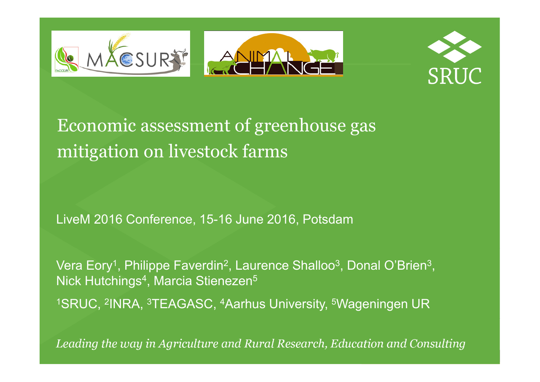



Economic assessment of greenhouse gas mitigation on livestock farms

LiveM 2016 Conference, 15-16 June 2016, Potsdam

Vera Eory<sup>1</sup>, Philippe Faverdin<sup>2</sup>, Laurence Shalloo<sup>3</sup>, Donal O'Brien<sup>3</sup><br>Niels Untekinged, Marcia Otiona-en<sup>5</sup> Nick Hutchings<sup>4</sup>, Marcia Stienezen<sup>5</sup> , , , , <sup>1</sup>SRUC, <sup>2</sup>INRA, <sup>3</sup>TEAGASC, <sup>4</sup>Aarhus University, <sup>5</sup>Wageningen UR

Leading the way in Agriculture and Rural Research, Education and Consulting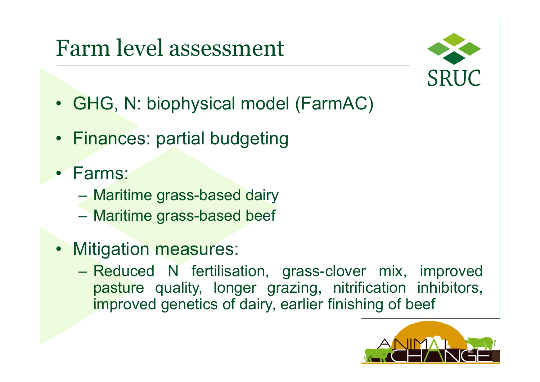# Farm level assessment



- GHG, N: biophysical model (FarmAC)
- F<mark>inanc</mark>es: partial budgeting
- Farms:
	- –Maritime grass-based dairy
	- –Maritime grass-based beef
- •**Mitigation measures:** 
	- –Reduced N fertilisation, grass-clover mix, improved pasture quality, longer grazing, nitrification inhibitors, improved genetics of dairy, earlier finishing of beef

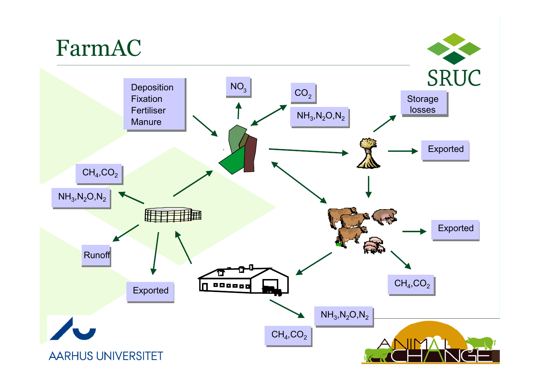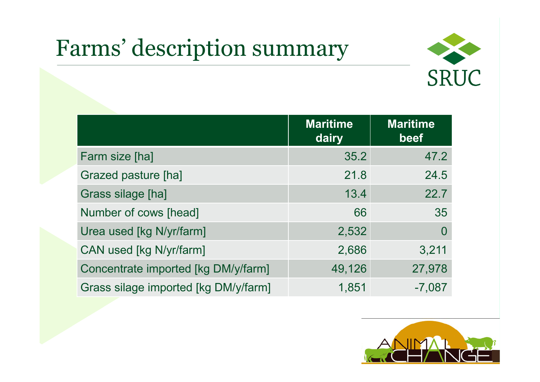# Farms' description summary



|                                      | <b>Maritime</b><br>dairy | <b>Maritime</b><br>beef |
|--------------------------------------|--------------------------|-------------------------|
| Farm size [ha]                       | 35.2                     | 47.2                    |
| Grazed pasture [ha]                  | 21.8                     | 24.5                    |
| <b>Grass silage [ha]</b>             | 13.4                     | 22.7                    |
| Number of cows [head]                | 66                       | 35                      |
| Urea used [kg N/yr/farm]             | 2,532                    | $\overline{0}$          |
| CAN used [kg N/yr/farm]              | 2,686                    | 3,211                   |
| Concentrate imported [kg DM/y/farm]  | 49,126                   | 27,978                  |
| Grass silage imported [kg DM/y/farm] | 1,851                    | $-7,087$                |

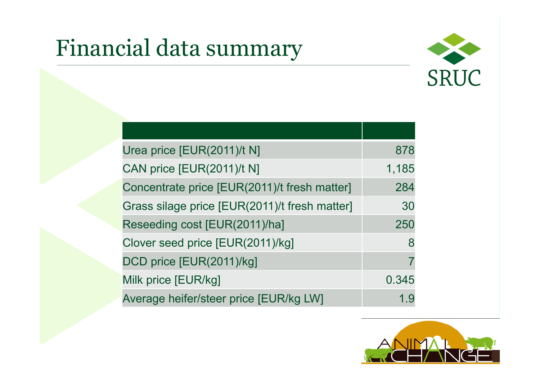# Financial data summary



| Urea price [EUR(2011)/t N]                    | 878   |
|-----------------------------------------------|-------|
| CAN price [EUR(2011)/t N]                     | 1,185 |
| Concentrate price [EUR(2011)/t fresh matter]  | 284   |
| Grass silage price [EUR(2011)/t fresh matter] | 30    |
| Reseeding cost [EUR(2011)/ha]                 | 250   |
| Clover seed price [EUR(2011)/kg]              | 8     |
| DCD price [EUR(2011)/kg]                      |       |
| Milk price [EUR/kg]                           | 0.345 |
| Average heifer/steer price [EUR/kg LW]        | 1.9   |

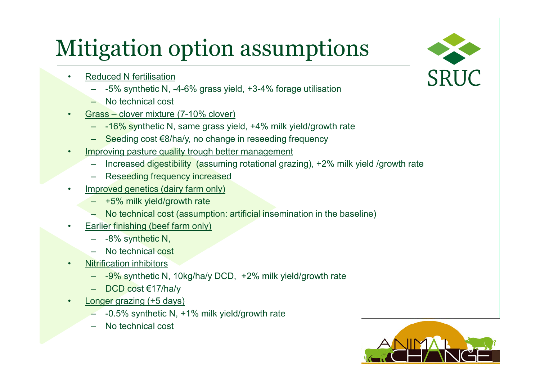# Mitigation option assumptions

- • Reduced N fertilisation
	- -5% synthetic N, -4-6% grass yield, +3-4% forage utilisation
	- No technical cost
- • Grass – clover mixture (7-10% clover)
	- -16% synthetic N, same grass yield, +4% milk yield/growth rate
	- Seeding cost €8/ha/y, no change in reseeding frequency
- •Improving pasture quality trough better management
	- Increased digestibility (assuming rotational grazing), +2% milk yield /growth rate
	- Reseeding frequency increased
	- Improved genetics (dairy farm only)
		- +5% milk yield/growth rate
		- No technical cost (assumption: artificial insemination in the baseline)
- • Earlier finishing (beef farm only)
	- -8% synthetic N,
	- No technical cost
- •Nitrification inhibitors

•

- -9% synthetic N, 10kg/ha/y DCD, +2% milk yield/growth rate
- DCD cost €17/ha/y
- • Longer grazing (+5 days)
	- $-$  -0.5% synthetic N, +1% milk yield/growth rate
	- No technical cost



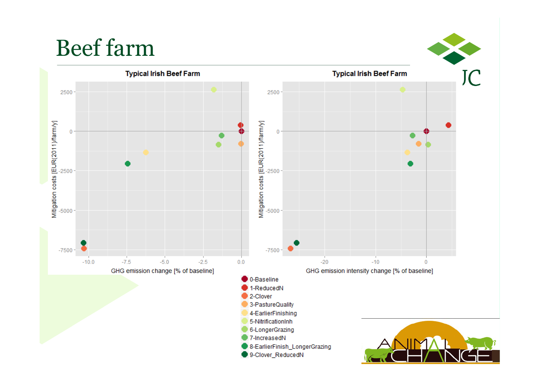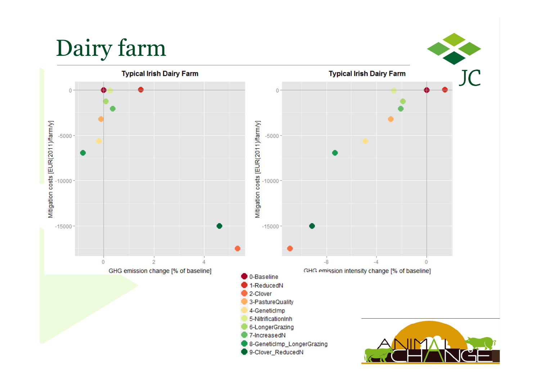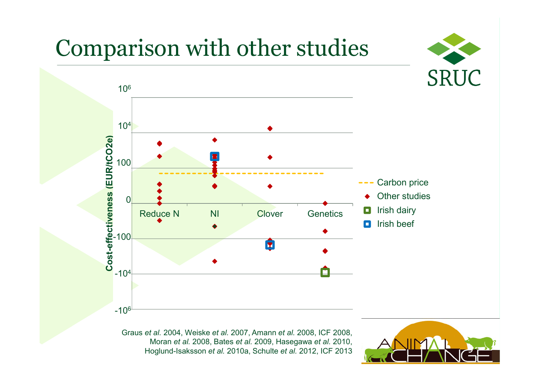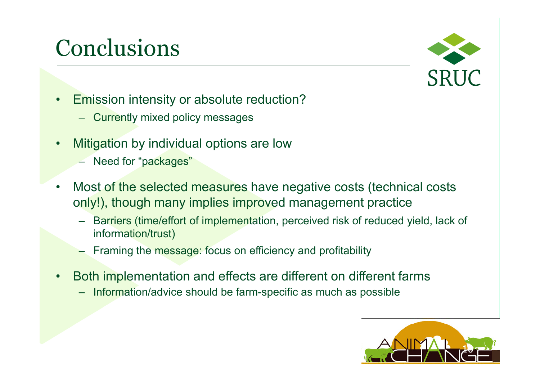# Conclusions



- • Emission intensity or absolute reduction?
	- Currently mixed policy messages
- • Mitigation by individual options are low
	- Need for "packages"
- $\bullet$  Most of the selected measures have negative costs (technical costs only!), though many implies improved management practice
	- Barriers (time/effort of implementation, perceived risk of reduced yield, lack of information/trust)
	- –Framing the message: focus on efficiency and profitability
- • Both implementation and effects are different on different farms
	- Information/advice should be farm-specific as much as possible